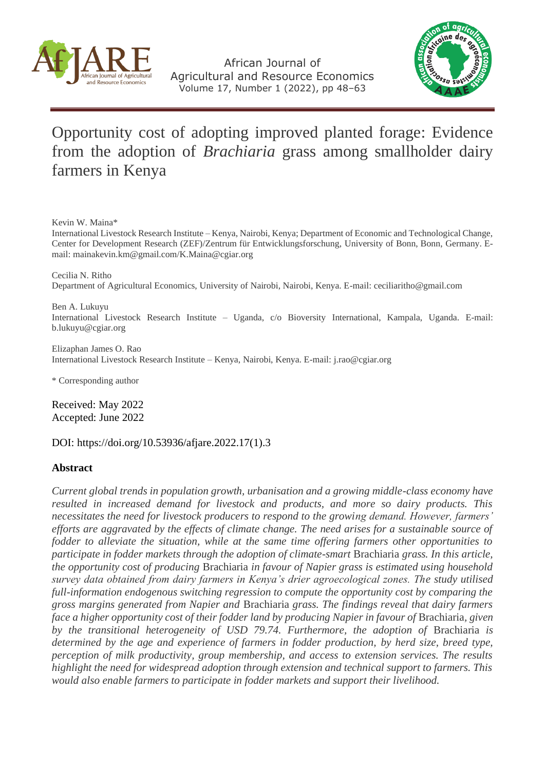

African Journal of Agricultural and Resource Economics Volume 17, Number 1 (2022), pp 48–63



# Opportunity cost of adopting improved planted forage: Evidence from the adoption of *Brachiaria* grass among smallholder dairy farmers in Kenya

Kevin W. Maina\*

International Livestock Research Institute – Kenya, Nairobi, Kenya; Department of Economic and Technological Change, Center for Development Research (ZEF)/Zentrum für Entwicklungsforschung, University of Bonn, Bonn, Germany. Email: [mainakevin.km@gmail.com/](mailto:mainakevin.km@gmail.com/)[K.Maina@cgiar.org](mailto:K.Maina@cgiar.org)

Cecilia N. Ritho Department of Agricultural Economics, University of Nairobi, Nairobi, Kenya. E-mail: [cecilia](mailto:cecilia)[ritho@gmail.com](mailto:ritho@gmail.com)

Ben A. Lukuyu International Livestock Research Institute – Uganda, c/o Bioversity International, Kampala, Uganda. E-mail: [b.lukuyu@cgiar.org](mailto:b.lukuyu@cgiar.org)

Elizaphan James O. Rao International Livestock Research Institute – Kenya, Nairobi, Kenya. E-mail[: j.rao@cgiar.org](mailto:j.rao@cgiar.org)

\* Corresponding author

Received: May 2022 Accepted: June 2022

DOI: [https://doi.org/10.53936/afjare.2022.17\(1\).3](https://doi.org/10.53936/afjare.2022.17%281%29.3)

#### **Abstract**

*Current global trends in population growth, urbanisation and a growing middle-class economy have resulted in increased demand for livestock and products, and more so dairy products. This necessitates the need for livestock producers to respond to the growing demand. However, farmers' efforts are aggravated by the effects of climate change. The need arises for a sustainable source of fodder to alleviate the situation, while at the same time offering farmers other opportunities to participate in fodder markets through the adoption of climate-smart* Brachiaria *grass. In this article, the opportunity cost of producing* Brachiaria *in favour of Napier grass is estimated using household survey data obtained from dairy farmers in Kenya's drier agroecological zones. The study utilised full-information endogenous switching regression to compute the opportunity cost by comparing the gross margins generated from Napier and* Brachiaria *grass. The findings reveal that dairy farmers face a higher opportunity cost of their fodder land by producing Napier in favour of Brachiaria, given by the transitional heterogeneity of USD 79.74. Furthermore, the adoption of* Brachiaria *is determined by the age and experience of farmers in fodder production, by herd size, breed type, perception of milk productivity, group membership, and access to extension services. The results highlight the need for widespread adoption through extension and technical support to farmers. This would also enable farmers to participate in fodder markets and support their livelihood.*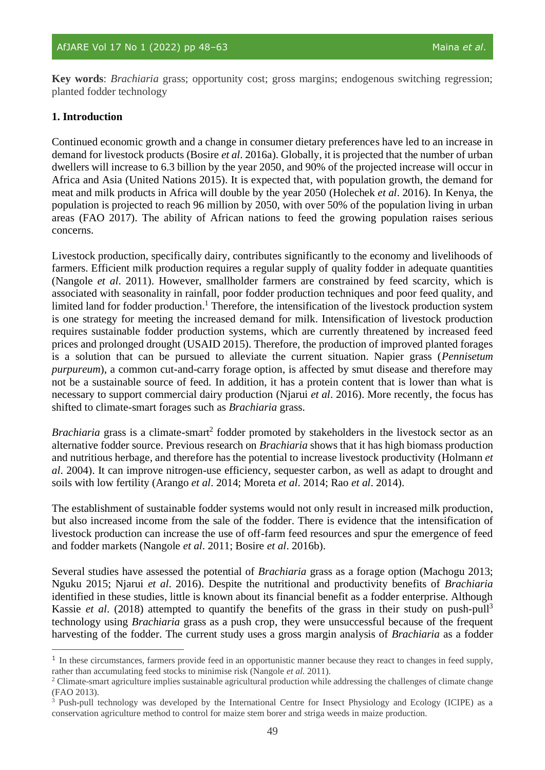**Key words**: *Brachiaria* grass; opportunity cost; gross margins; endogenous switching regression; planted fodder technology

#### **1. Introduction**

Continued economic growth and a change in consumer dietary preferences have led to an increase in demand for livestock products (Bosire *et al*. 2016a). Globally, it is projected that the number of urban dwellers will increase to 6.3 billion by the year 2050, and 90% of the projected increase will occur in Africa and Asia (United Nations 2015). It is expected that, with population growth, the demand for meat and milk products in Africa will double by the year 2050 (Holechek *et al*. 2016). In Kenya, the population is projected to reach 96 million by 2050, with over 50% of the population living in urban areas (FAO 2017). The ability of African nations to feed the growing population raises serious concerns.

Livestock production, specifically dairy, contributes significantly to the economy and livelihoods of farmers. Efficient milk production requires a regular supply of quality fodder in adequate quantities (Nangole *et al*. 2011). However, smallholder farmers are constrained by feed scarcity, which is associated with seasonality in rainfall, poor fodder production techniques and poor feed quality, and limited land for fodder production.<sup>1</sup> Therefore, the intensification of the livestock production system is one strategy for meeting the increased demand for milk. Intensification of livestock production requires sustainable fodder production systems, which are currently threatened by increased feed prices and prolonged drought (USAID 2015). Therefore, the production of improved planted forages is a solution that can be pursued to alleviate the current situation. Napier grass (*Pennisetum purpureum*), a common cut-and-carry forage option, is affected by smut disease and therefore may not be a sustainable source of feed. In addition, it has a protein content that is lower than what is necessary to support commercial dairy production (Njarui *et al*. 2016). More recently, the focus has shifted to climate-smart forages such as *Brachiaria* grass.

Brachiaria grass is a climate-smart<sup>2</sup> fodder promoted by stakeholders in the livestock sector as an alternative fodder source. Previous research on *Brachiaria* shows that it has high biomass production and nutritious herbage, and therefore has the potential to increase livestock productivity (Holmann *et al*. 2004). It can improve nitrogen-use efficiency, sequester carbon, as well as adapt to drought and soils with low fertility (Arango *et al*. 2014; Moreta *et al*. 2014; Rao *et al*. 2014).

The establishment of sustainable fodder systems would not only result in increased milk production, but also increased income from the sale of the fodder. There is evidence that the intensification of livestock production can increase the use of off-farm feed resources and spur the emergence of feed and fodder markets (Nangole *et al*. 2011; Bosire *et al*. 2016b).

Several studies have assessed the potential of *Brachiaria* grass as a forage option (Machogu 2013; Nguku 2015; Njarui *et al*. 2016). Despite the nutritional and productivity benefits of *Brachiaria* identified in these studies, little is known about its financial benefit as a fodder enterprise. Although Kassie *et al.* (2018) attempted to quantify the benefits of the grass in their study on push-pull<sup>3</sup> technology using *Brachiaria* grass as a push crop, they were unsuccessful because of the frequent harvesting of the fodder. The current study uses a gross margin analysis of *Brachiaria* as a fodder

<sup>&</sup>lt;sup>1</sup> In these circumstances, farmers provide feed in an opportunistic manner because they react to changes in feed supply, rather than accumulating feed stocks to minimise risk (Nangole *et al*. 2011).

<sup>&</sup>lt;sup>2</sup> Climate-smart agriculture implies sustainable agricultural production while addressing the challenges of climate change (FAO 2013).

<sup>3</sup> Push-pull technology was developed by the International Centre for Insect Physiology and Ecology (ICIPE) as a conservation agriculture method to control for maize stem borer and striga weeds in maize production.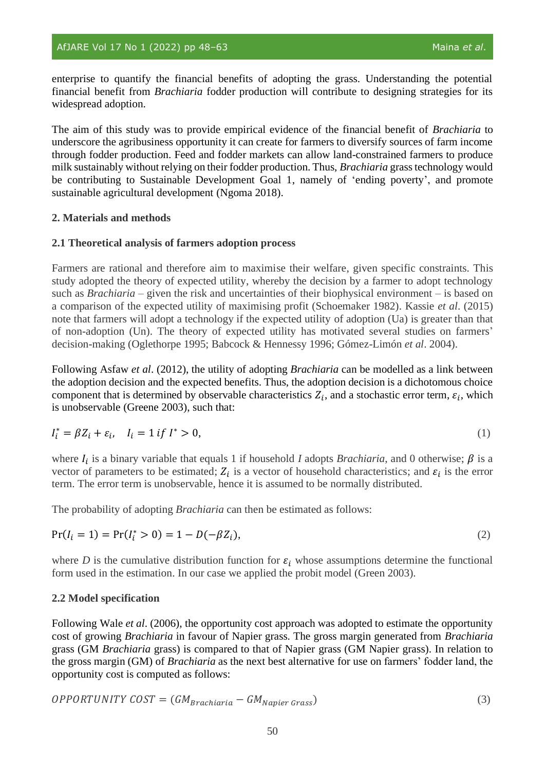enterprise to quantify the financial benefits of adopting the grass. Understanding the potential financial benefit from *Brachiaria* fodder production will contribute to designing strategies for its widespread adoption.

The aim of this study was to provide empirical evidence of the financial benefit of *Brachiaria* to underscore the agribusiness opportunity it can create for farmers to diversify sources of farm income through fodder production. Feed and fodder markets can allow land-constrained farmers to produce milk sustainably without relying on their fodder production. Thus, *Brachiaria* grass technology would be contributing to Sustainable Development Goal 1, namely of 'ending poverty', and promote sustainable agricultural development (Ngoma 2018).

#### **2. Materials and methods**

#### **2.1 Theoretical analysis of farmers adoption process**

Farmers are rational and therefore aim to maximise their welfare, given specific constraints. This study adopted the theory of expected utility, whereby the decision by a farmer to adopt technology such as *Brachiaria* – given the risk and uncertainties of their biophysical environment – is based on a comparison of the expected utility of maximising profit (Schoemaker 1982). Kassie *et al*. (2015) note that farmers will adopt a technology if the expected utility of adoption (Ua) is greater than that of non-adoption (Un). The theory of expected utility has motivated several studies on farmers' decision-making (Oglethorpe 1995; Babcock & Hennessy 1996; Gómez-Limón *et al*. 2004).

Following Asfaw *et al*. (2012), the utility of adopting *Brachiaria* can be modelled as a link between the adoption decision and the expected benefits. Thus, the adoption decision is a dichotomous choice component that is determined by observable characteristics  $Z_i$ , and a stochastic error term,  $\varepsilon_i$ , which is unobservable (Greene 2003), such that:

$$
I_i^* = \beta Z_i + \varepsilon_i, \quad I_i = 1 \text{ if } I^* > 0,
$$
\n
$$
(1)
$$

where  $I_i$  is a binary variable that equals 1 if household *I* adopts *Brachiaria*, and 0 otherwise;  $\beta$  is a vector of parameters to be estimated;  $Z_i$  is a vector of household characteristics; and  $\varepsilon_i$  is the error term. The error term is unobservable, hence it is assumed to be normally distributed.

The probability of adopting *Brachiaria* can then be estimated as follows:

$$
Pr(I_i = 1) = Pr(I_i^* > 0) = 1 - D(-\beta Z_i),
$$
\n(2)

where *D* is the cumulative distribution function for  $\varepsilon_i$  whose assumptions determine the functional form used in the estimation. In our case we applied the probit model (Green 2003).

#### **2.2 Model specification**

Following Wale *et al*. (2006), the opportunity cost approach was adopted to estimate the opportunity cost of growing *Brachiaria* in favour of Napier grass. The gross margin generated from *Brachiaria* grass (GM *Brachiaria* grass) is compared to that of Napier grass (GM Napier grass). In relation to the gross margin (GM) of *Brachiaria* as the next best alternative for use on farmers' fodder land, the opportunity cost is computed as follows:

$$
OPPORTUNITY COST = (GM_{Brachiaria} - GM_{Napier Grass})
$$
\n(3)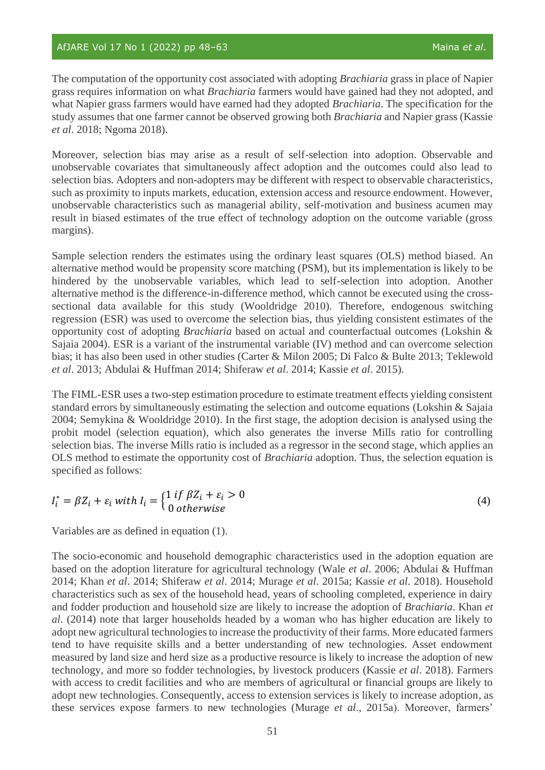The computation of the opportunity cost associated with adopting *Brachiaria* grass in place of Napier grass requires information on what *Brachiaria* farmers would have gained had they not adopted, and what Napier grass farmers would have earned had they adopted *Brachiaria*. The specification for the study assumes that one farmer cannot be observed growing both *Brachiaria* and Napier grass (Kassie *et al*. 2018; Ngoma 2018).

Moreover, selection bias may arise as a result of self-selection into adoption. Observable and unobservable covariates that simultaneously affect adoption and the outcomes could also lead to selection bias. Adopters and non-adopters may be different with respect to observable characteristics, such as proximity to inputs markets, education, extension access and resource endowment. However, unobservable characteristics such as managerial ability, self-motivation and business acumen may result in biased estimates of the true effect of technology adoption on the outcome variable (gross margins).

Sample selection renders the estimates using the ordinary least squares (OLS) method biased. An alternative method would be propensity score matching (PSM), but its implementation is likely to be hindered by the unobservable variables, which lead to self-selection into adoption. Another alternative method is the difference-in-difference method, which cannot be executed using the crosssectional data available for this study (Wooldridge 2010). Therefore, endogenous switching regression (ESR) was used to overcome the selection bias, thus yielding consistent estimates of the opportunity cost of adopting *Brachiaria* based on actual and counterfactual outcomes (Lokshin & Sajaia 2004). ESR is a variant of the instrumental variable (IV) method and can overcome selection bias; it has also been used in other studies (Carter & Milon 2005; Di Falco & Bulte 2013; Teklewold *et al*. 2013; Abdulai & Huffman 2014; Shiferaw *et al*. 2014; Kassie *et al*. 2015).

The FIML-ESR uses a two-step estimation procedure to estimate treatment effects yielding consistent standard errors by simultaneously estimating the selection and outcome equations (Lokshin & Sajaia 2004; Semykina & Wooldridge 2010). In the first stage, the adoption decision is analysed using the probit model (selection equation), which also generates the inverse Mills ratio for controlling selection bias. The inverse Mills ratio is included as a regressor in the second stage, which applies an OLS method to estimate the opportunity cost of *Brachiaria* adoption. Thus, the selection equation is specified as follows:

$$
I_i^* = \beta Z_i + \varepsilon_i \text{ with } I_i = \begin{cases} 1 \text{ if } \beta Z_i + \varepsilon_i > 0 \\ 0 \text{ otherwise} \end{cases}
$$
 (4)

Variables are as defined in equation (1).

The socio-economic and household demographic characteristics used in the adoption equation are based on the adoption literature for agricultural technology (Wale *et al*. 2006; Abdulai & Huffman 2014; Khan *et al*. 2014; Shiferaw *et al*. 2014; Murage *et al*. 2015a; Kassie *et al*. 2018). Household characteristics such as sex of the household head, years of schooling completed, experience in dairy and fodder production and household size are likely to increase the adoption of *Brachiaria*. Khan *et al*. (2014) note that larger households headed by a woman who has higher education are likely to adopt new agricultural technologies to increase the productivity of their farms. More educated farmers tend to have requisite skills and a better understanding of new technologies. Asset endowment measured by land size and herd size as a productive resource is likely to increase the adoption of new technology, and more so fodder technologies, by livestock producers (Kassie *et al*. 2018). Farmers with access to credit facilities and who are members of agricultural or financial groups are likely to adopt new technologies. Consequently, access to extension services is likely to increase adoption, as these services expose farmers to new technologies (Murage *et al*., 2015a). Moreover, farmers'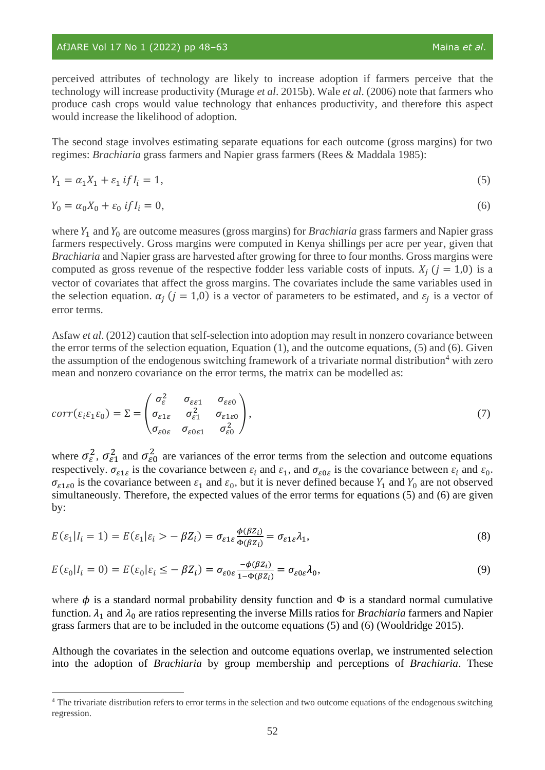# AfJARE Vol 17 No 1 (2022) pp 48–63 Maina *et al.*

perceived attributes of technology are likely to increase adoption if farmers perceive that the technology will increase productivity (Murage *et al*. 2015b). Wale *et al*. (2006) note that farmers who produce cash crops would value technology that enhances productivity, and therefore this aspect would increase the likelihood of adoption.

The second stage involves estimating separate equations for each outcome (gross margins) for two regimes: *Brachiaria* grass farmers and Napier grass farmers (Rees & Maddala 1985):

$$
Y_1 = \alpha_1 X_1 + \varepsilon_1 \text{ if } I_i = 1,\tag{5}
$$

$$
Y_0 = \alpha_0 X_0 + \varepsilon_0 \text{ if } I_i = 0,
$$
\n<sup>(6)</sup>

where  $Y_1$  and  $Y_0$  are outcome measures (gross margins) for *Brachiaria* grass farmers and Napier grass farmers respectively. Gross margins were computed in Kenya shillings per acre per year, given that *Brachiaria* and Napier grass are harvested after growing for three to four months. Gross margins were computed as gross revenue of the respective fodder less variable costs of inputs.  $X_i$  ( $j = 1,0$ ) is a vector of covariates that affect the gross margins. The covariates include the same variables used in the selection equation.  $\alpha_j$  ( $j = 1,0$ ) is a vector of parameters to be estimated, and  $\varepsilon_j$  is a vector of error terms.

Asfaw *et al*. (2012) caution that self-selection into adoption may result in nonzero covariance between the error terms of the selection equation, Equation (1), and the outcome equations, (5) and (6). Given the assumption of the endogenous switching framework of a trivariate normal distribution<sup>4</sup> with zero mean and nonzero covariance on the error terms, the matrix can be modelled as:

$$
corr(\varepsilon_i \varepsilon_1 \varepsilon_0) = \Sigma = \begin{pmatrix} \sigma_{\varepsilon}^2 & \sigma_{\varepsilon \varepsilon 1} & \sigma_{\varepsilon \varepsilon 0} \\ \sigma_{\varepsilon 1 \varepsilon} & \sigma_{\varepsilon 1}^2 & \sigma_{\varepsilon 1 \varepsilon 0} \\ \sigma_{\varepsilon 0 \varepsilon} & \sigma_{\varepsilon 0 \varepsilon 1} & \sigma_{\varepsilon 0}^2 \end{pmatrix},
$$
\n
$$
(7)
$$

where  $\sigma_{\varepsilon}^2$ ,  $\sigma_{\varepsilon_1}^2$  and  $\sigma_{\varepsilon_0}^2$  are variances of the error terms from the selection and outcome equations respectively.  $\sigma_{\varepsilon_1 \varepsilon}$  is the covariance between  $\varepsilon_i$  and  $\varepsilon_1$ , and  $\sigma_{\varepsilon_0 \varepsilon}$  is the covariance between  $\varepsilon_i$  and  $\varepsilon_0$ .  $\sigma_{\epsilon 1 \epsilon 0}$  is the covariance between  $\epsilon_1$  and  $\epsilon_0$ , but it is never defined because  $Y_1$  and  $Y_0$  are not observed simultaneously. Therefore, the expected values of the error terms for equations (5) and (6) are given by:

$$
E(\varepsilon_1|I_i=1) = E(\varepsilon_1|\varepsilon_i\rangle - \beta Z_i) = \sigma_{\varepsilon_1\varepsilon} \frac{\phi(\beta z_i)}{\Phi(\beta z_i)} = \sigma_{\varepsilon_1\varepsilon} \lambda_1,\tag{8}
$$

$$
E(\varepsilon_0 | I_i = 0) = E(\varepsilon_0 | \varepsilon_i \le -\beta Z_i) = \sigma_{\varepsilon 0 \varepsilon} \frac{-\phi(\beta Z_i)}{1 - \phi(\beta Z_i)} = \sigma_{\varepsilon 0 \varepsilon} \lambda_0,
$$
\n<sup>(9)</sup>

where  $\phi$  is a standard normal probability density function and  $\Phi$  is a standard normal cumulative function.  $\lambda_1$  and  $\lambda_0$  are ratios representing the inverse Mills ratios for *Brachiaria* farmers and Napier grass farmers that are to be included in the outcome equations (5) and (6) (Wooldridge 2015).

Although the covariates in the selection and outcome equations overlap, we instrumented selection into the adoption of *Brachiaria* by group membership and perceptions of *Brachiaria*. These

<sup>&</sup>lt;sup>4</sup> The trivariate distribution refers to error terms in the selection and two outcome equations of the endogenous switching regression.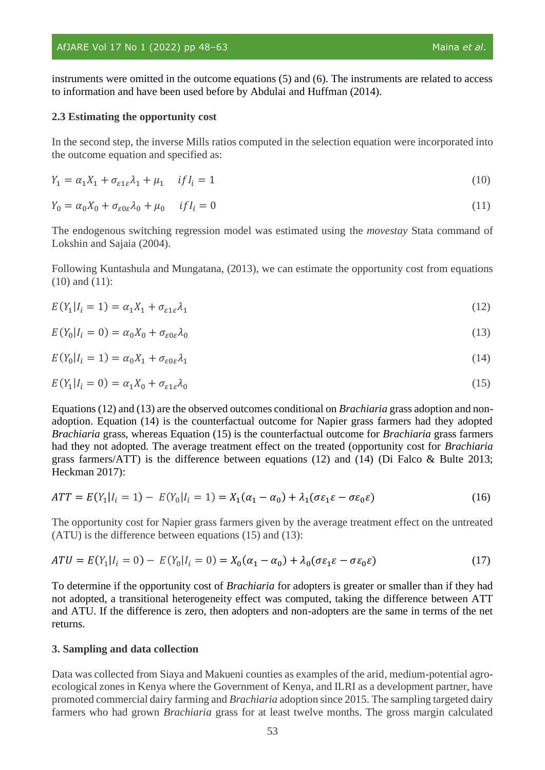#### AfJARE Vol 17 No 1 (2022) pp 48-63 Maina *et al.* Maina *et al.*

instruments were omitted in the outcome equations (5) and (6). The instruments are related to access to information and have been used before by Abdulai and Huffman (2014).

#### **2.3 Estimating the opportunity cost**

In the second step, the inverse Mills ratios computed in the selection equation were incorporated into the outcome equation and specified as:

$$
Y_1 = \alpha_1 X_1 + \sigma_{\varepsilon 1 \varepsilon} \lambda_1 + \mu_1 \quad \text{if } I_i = 1 \tag{10}
$$

$$
Y_0 = \alpha_0 X_0 + \sigma_{\varepsilon 0 \varepsilon} \lambda_0 + \mu_0 \quad \text{if } I_i = 0 \tag{11}
$$

The endogenous switching regression model was estimated using the *movestay* Stata command of Lokshin and Sajaia (2004).

Following Kuntashula and Mungatana, (2013), we can estimate the opportunity cost from equations (10) and (11):

$$
E(Y_1|I_i = 1) = \alpha_1 X_1 + \sigma_{\varepsilon 1 \varepsilon} \lambda_1 \tag{12}
$$

$$
E(Y_0|I_i = 0) = \alpha_0 X_0 + \sigma_{\varepsilon 0 \varepsilon} \lambda_0 \tag{13}
$$

$$
E(Y_0|I_i = 1) = \alpha_0 X_1 + \sigma_{\varepsilon 0 \varepsilon} \lambda_1 \tag{14}
$$

$$
E(Y_1|I_i = 0) = \alpha_1 X_0 + \sigma_{\varepsilon 1 \varepsilon} \lambda_0 \tag{15}
$$

Equations (12) and (13) are the observed outcomes conditional on *Brachiaria* grass adoption and nonadoption. Equation (14) is the counterfactual outcome for Napier grass farmers had they adopted *Brachiaria* grass, whereas Equation (15) is the counterfactual outcome for *Brachiaria* grass farmers had they not adopted. The average treatment effect on the treated (opportunity cost for *Brachiaria*  grass farmers/ATT) is the difference between equations (12) and (14) (Di Falco  $\&$  Bulte 2013; Heckman 2017):

$$
ATT = E(Y_1 | I_i = 1) - E(Y_0 | I_i = 1) = X_1(\alpha_1 - \alpha_0) + \lambda_1(\sigma \varepsilon_1 \varepsilon - \sigma \varepsilon_0 \varepsilon)
$$
\n(16)

The opportunity cost for Napier grass farmers given by the average treatment effect on the untreated (ATU) is the difference between equations (15) and (13):

$$
ATU = E(Y_1|I_i = 0) - E(Y_0|I_i = 0) = X_0(\alpha_1 - \alpha_0) + \lambda_0(\sigma \varepsilon_1 \varepsilon - \sigma \varepsilon_0 \varepsilon)
$$
\n
$$
\tag{17}
$$

To determine if the opportunity cost of *Brachiaria* for adopters is greater or smaller than if they had not adopted, a transitional heterogeneity effect was computed, taking the difference between ATT and ATU. If the difference is zero, then adopters and non-adopters are the same in terms of the net returns.

#### **3. Sampling and data collection**

Data was collected from Siaya and Makueni counties as examples of the arid, medium-potential agroecological zones in Kenya where the Government of Kenya, and ILRI as a development partner, have promoted commercial dairy farming and *Brachiaria* adoption since 2015. The sampling targeted dairy farmers who had grown *Brachiaria* grass for at least twelve months. The gross margin calculated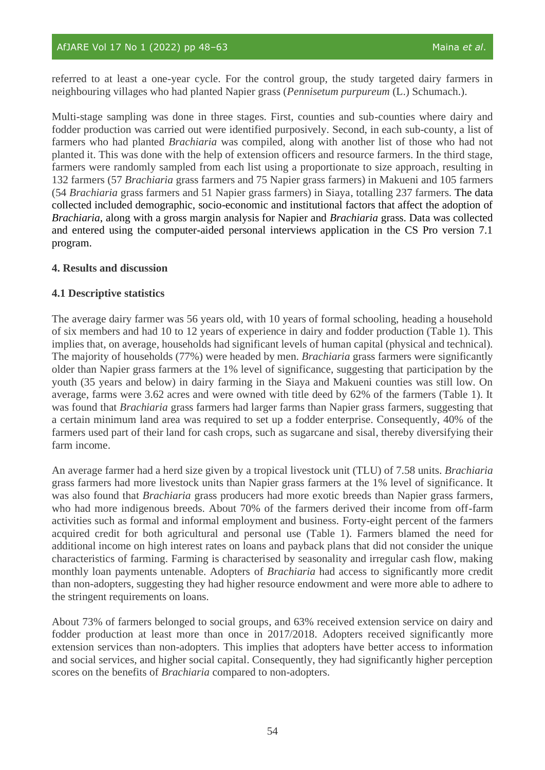referred to at least a one-year cycle. For the control group, the study targeted dairy farmers in neighbouring villages who had planted Napier grass (*Pennisetum purpureum* (L.) Schumach.).

Multi-stage sampling was done in three stages. First, counties and sub-counties where dairy and fodder production was carried out were identified purposively. Second, in each sub-county, a list of farmers who had planted *Brachiaria* was compiled, along with another list of those who had not planted it. This was done with the help of extension officers and resource farmers. In the third stage, farmers were randomly sampled from each list using a proportionate to size approach, resulting in 132 farmers (57 *Brachiaria* grass farmers and 75 Napier grass farmers) in Makueni and 105 farmers (54 *Brachiaria* grass farmers and 51 Napier grass farmers) in Siaya, totalling 237 farmers. The data collected included demographic, socio-economic and institutional factors that affect the adoption of *Brachiaria*, along with a gross margin analysis for Napier and *Brachiaria* grass. Data was collected and entered using the computer-aided personal interviews application in the CS Pro version 7.1 program.

#### **4. Results and discussion**

#### **4.1 Descriptive statistics**

The average dairy farmer was 56 years old, with 10 years of formal schooling, heading a household of six members and had 10 to 12 years of experience in dairy and fodder production (Table 1). This implies that, on average, households had significant levels of human capital (physical and technical). The majority of households (77%) were headed by men. *Brachiaria* grass farmers were significantly older than Napier grass farmers at the 1% level of significance, suggesting that participation by the youth (35 years and below) in dairy farming in the Siaya and Makueni counties was still low. On average, farms were 3.62 acres and were owned with title deed by 62% of the farmers (Table 1). It was found that *Brachiaria* grass farmers had larger farms than Napier grass farmers, suggesting that a certain minimum land area was required to set up a fodder enterprise. Consequently, 40% of the farmers used part of their land for cash crops, such as sugarcane and sisal, thereby diversifying their farm income.

An average farmer had a herd size given by a tropical livestock unit (TLU) of 7.58 units. *Brachiaria* grass farmers had more livestock units than Napier grass farmers at the 1% level of significance. It was also found that *Brachiaria* grass producers had more exotic breeds than Napier grass farmers, who had more indigenous breeds. About 70% of the farmers derived their income from off-farm activities such as formal and informal employment and business. Forty-eight percent of the farmers acquired credit for both agricultural and personal use (Table 1). Farmers blamed the need for additional income on high interest rates on loans and payback plans that did not consider the unique characteristics of farming. Farming is characterised by seasonality and irregular cash flow, making monthly loan payments untenable. Adopters of *Brachiaria* had access to significantly more credit than non-adopters, suggesting they had higher resource endowment and were more able to adhere to the stringent requirements on loans.

About 73% of farmers belonged to social groups, and 63% received extension service on dairy and fodder production at least more than once in 2017/2018. Adopters received significantly more extension services than non-adopters. This implies that adopters have better access to information and social services, and higher social capital. Consequently, they had significantly higher perception scores on the benefits of *Brachiaria* compared to non-adopters.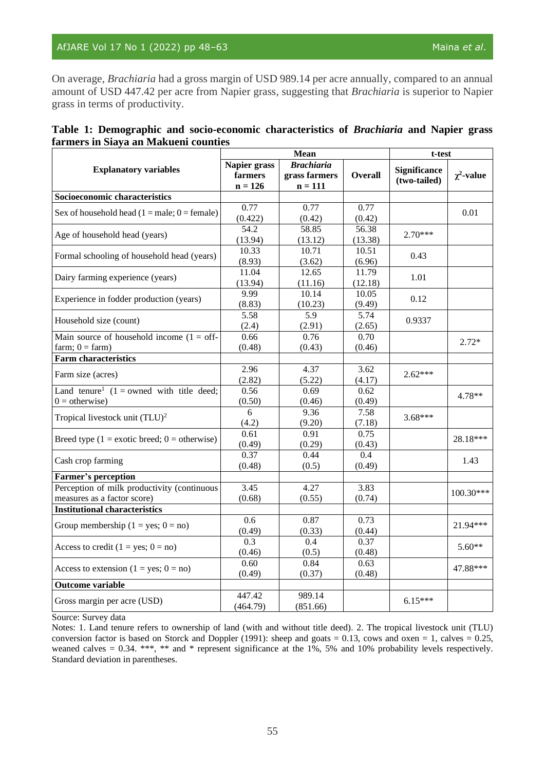On average, *Brachiaria* had a gross margin of USD 989.14 per acre annually, compared to an annual amount of USD 447.42 per acre from Napier grass, suggesting that *Brachiaria* is superior to Napier grass in terms of productivity.

|                                      | Table 1: Demographic and socio-economic characteristics of <i>Brachiaria</i> and Napier grass |  |  |  |
|--------------------------------------|-----------------------------------------------------------------------------------------------|--|--|--|
| farmers in Siaya an Makueni counties |                                                                                               |  |  |  |

|                                                                            |                                      | Mean                                            | t-test           |                                     |                 |
|----------------------------------------------------------------------------|--------------------------------------|-------------------------------------------------|------------------|-------------------------------------|-----------------|
| <b>Explanatory variables</b>                                               | Napier grass<br>farmers<br>$n = 126$ | <b>Brachiaria</b><br>grass farmers<br>$n = 111$ | <b>Overall</b>   | <b>Significance</b><br>(two-tailed) | $\chi^2$ -value |
| Socioeconomic characteristics                                              |                                      |                                                 |                  |                                     |                 |
| Sex of household head $(1 = male; 0 = female)$                             | 0.77<br>(0.422)                      | 0.77<br>(0.42)                                  | 0.77<br>(0.42)   |                                     | 0.01            |
| Age of household head (years)                                              | 54.2<br>(13.94)                      | 58.85<br>(13.12)                                | 56.38<br>(13.38) | $2.70***$                           |                 |
| Formal schooling of household head (years)                                 | 10.33<br>(8.93)                      | 10.71<br>(3.62)                                 | 10.51<br>(6.96)  | 0.43                                |                 |
| Dairy farming experience (years)                                           | 11.04<br>(13.94)                     | 12.65<br>(11.16)                                | 11.79<br>(12.18) | 1.01                                |                 |
| Experience in fodder production (years)                                    | 9.99<br>(8.83)                       | 10.14<br>(10.23)                                | 10.05<br>(9.49)  | 0.12                                |                 |
| Household size (count)                                                     | 5.58<br>(2.4)                        | $\overline{5.9}$<br>(2.91)                      | 5.74<br>(2.65)   | 0.9337                              |                 |
| Main source of household income $(1 = off$ -<br>$farm$ ; $0 = farm$ )      | 0.66<br>(0.48)                       | 0.76<br>(0.43)                                  | 0.70<br>(0.46)   |                                     | $2.72*$         |
| <b>Farm characteristics</b>                                                |                                      |                                                 |                  |                                     |                 |
| Farm size (acres)                                                          | 2.96<br>(2.82)                       | 4.37<br>(5.22)                                  | 3.62<br>(4.17)   | $2.62***$                           |                 |
| Land tenure <sup>1</sup> $(1 =$ owned with title deed;<br>$0 =$ otherwise) | 0.56<br>(0.50)                       | 0.69<br>(0.46)                                  | 0.62<br>(0.49)   |                                     | $4.78**$        |
| Tropical livestock unit (TLU) <sup>2</sup>                                 | $\overline{6}$<br>(4.2)              | 9.36<br>(9.20)                                  | 7.58<br>(7.18)   | $3.68***$                           |                 |
| Breed type $(1 = \text{exotic breed}; 0 = \text{otherwise})$               | 0.61<br>(0.49)                       | 0.91<br>(0.29)                                  | 0.75<br>(0.43)   |                                     | 28.18***        |
| Cash crop farming                                                          | 0.37<br>(0.48)                       | 0.44<br>(0.5)                                   | 0.4<br>(0.49)    |                                     | 1.43            |
| <b>Farmer's perception</b>                                                 |                                      |                                                 |                  |                                     |                 |
| Perception of milk productivity (continuous<br>measures as a factor score) | 3.45<br>(0.68)                       | 4.27<br>(0.55)                                  | 3.83<br>(0.74)   |                                     | 100.30***       |
| <b>Institutional characteristics</b>                                       |                                      |                                                 |                  |                                     |                 |
| Group membership $(1 = yes; 0 = no)$                                       | 0.6<br>(0.49)                        | 0.87<br>(0.33)                                  | 0.73<br>(0.44)   |                                     | 21.94***        |
| Access to credit $(1 = yes; 0 = no)$                                       | 0.3<br>(0.46)                        | 0.4<br>(0.5)                                    | 0.37<br>(0.48)   |                                     | $5.60**$        |
| Access to extension $(1 = yes; 0 = no)$                                    | 0.60<br>(0.49)                       | 0.84<br>(0.37)                                  | 0.63<br>(0.48)   |                                     | 47.88***        |
| <b>Outcome variable</b>                                                    |                                      |                                                 |                  |                                     |                 |
| Gross margin per acre (USD)                                                | 447.42<br>(464.79)                   | 989.14<br>(851.66)                              |                  | $6.15***$                           |                 |

Source: Survey data

Notes: 1. Land tenure refers to ownership of land (with and without title deed). 2. The tropical livestock unit (TLU) conversion factor is based on Storck and Doppler (1991): sheep and goats  $= 0.13$ , cows and oxen  $= 1$ , calves  $= 0.25$ , weaned calves = 0.34. \*\*\*, \*\* and \* represent significance at the 1%, 5% and 10% probability levels respectively. Standard deviation in parentheses.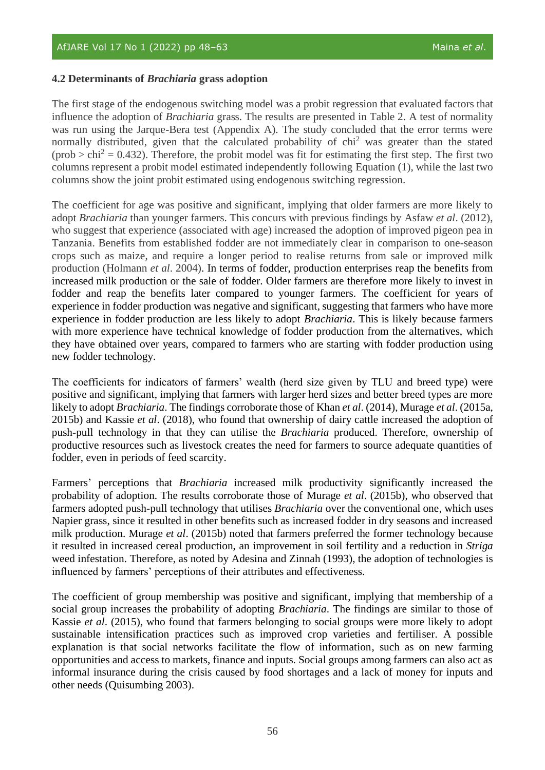#### **4.2 Determinants of** *Brachiaria* **grass adoption**

The first stage of the endogenous switching model was a probit regression that evaluated factors that influence the adoption of *Brachiaria* grass. The results are presented in Table 2. A test of normality was run using the Jarque-Bera test (Appendix A). The study concluded that the error terms were normally distributed, given that the calculated probability of  $\chi$ h<sup>2</sup> was greater than the stated  $(\text{prob} > \text{chi}^2 = 0.432)$ . Therefore, the probit model was fit for estimating the first step. The first two columns represent a probit model estimated independently following Equation (1), while the last two columns show the joint probit estimated using endogenous switching regression.

The coefficient for age was positive and significant, implying that older farmers are more likely to adopt *Brachiaria* than younger farmers. This concurs with previous findings by Asfaw *et al*. (2012), who suggest that experience (associated with age) increased the adoption of improved pigeon pea in Tanzania. Benefits from established fodder are not immediately clear in comparison to one-season crops such as maize, and require a longer period to realise returns from sale or improved milk production (Holmann *et al*. 2004). In terms of fodder, production enterprises reap the benefits from increased milk production or the sale of fodder. Older farmers are therefore more likely to invest in fodder and reap the benefits later compared to younger farmers. The coefficient for years of experience in fodder production was negative and significant, suggesting that farmers who have more experience in fodder production are less likely to adopt *Brachiaria*. This is likely because farmers with more experience have technical knowledge of fodder production from the alternatives, which they have obtained over years, compared to farmers who are starting with fodder production using new fodder technology.

The coefficients for indicators of farmers' wealth (herd size given by TLU and breed type) were positive and significant, implying that farmers with larger herd sizes and better breed types are more likely to adopt *Brachiaria*. The findings corroborate those of Khan *et al*. (2014), Murage *et al*. (2015a, 2015b) and Kassie *et al*. (2018), who found that ownership of dairy cattle increased the adoption of push-pull technology in that they can utilise the *Brachiaria* produced. Therefore, ownership of productive resources such as livestock creates the need for farmers to source adequate quantities of fodder, even in periods of feed scarcity.

Farmers' perceptions that *Brachiaria* increased milk productivity significantly increased the probability of adoption. The results corroborate those of Murage *et al*. (2015b), who observed that farmers adopted push-pull technology that utilises *Brachiaria* over the conventional one, which uses Napier grass, since it resulted in other benefits such as increased fodder in dry seasons and increased milk production. Murage *et al*. (2015b) noted that farmers preferred the former technology because it resulted in increased cereal production, an improvement in soil fertility and a reduction in *Striga* weed infestation. Therefore, as noted by Adesina and Zinnah (1993), the adoption of technologies is influenced by farmers' perceptions of their attributes and effectiveness.

The coefficient of group membership was positive and significant, implying that membership of a social group increases the probability of adopting *Brachiaria*. The findings are similar to those of Kassie *et al*. (2015), who found that farmers belonging to social groups were more likely to adopt sustainable intensification practices such as improved crop varieties and fertiliser. A possible explanation is that social networks facilitate the flow of information, such as on new farming opportunities and access to markets, finance and inputs. Social groups among farmers can also act as informal insurance during the crisis caused by food shortages and a lack of money for inputs and other needs (Quisumbing 2003).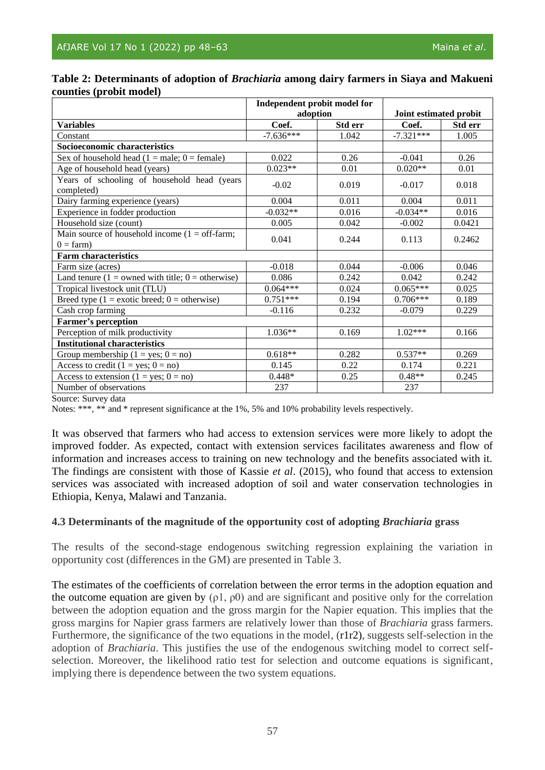|                                                                       | Independent probit model for |         |                        |         |  |
|-----------------------------------------------------------------------|------------------------------|---------|------------------------|---------|--|
|                                                                       | adoption                     |         | Joint estimated probit |         |  |
| <b>Variables</b>                                                      | Coef.                        | Std err | Coef.                  | Std err |  |
| Constant                                                              | $-7.636***$                  | 1.042   | $-7.321***$            | 1.005   |  |
| Socioeconomic characteristics                                         |                              |         |                        |         |  |
| Sex of household head $(1 = male; 0 = female)$                        | 0.022                        | 0.26    | $-0.041$               | 0.26    |  |
| Age of household head (years)                                         | $0.023**$                    | 0.01    | $0.020**$              | 0.01    |  |
| Years of schooling of household head (years<br>completed)             | $-0.02$                      | 0.019   | $-0.017$               | 0.018   |  |
| Dairy farming experience (years)                                      | 0.004                        | 0.011   | 0.004                  | 0.011   |  |
| Experience in fodder production                                       | $-0.032**$                   | 0.016   | $-0.034**$             | 0.016   |  |
| Household size (count)                                                | 0.005                        | 0.042   | $-0.002$               | 0.0421  |  |
| Main source of household income $(1 = off-farm;$<br>$0 = \text{farm}$ | 0.041                        | 0.244   | 0.113                  | 0.2462  |  |
| <b>Farm characteristics</b>                                           |                              |         |                        |         |  |
| Farm size (acres)                                                     | $-0.018$                     | 0.044   | $-0.006$               | 0.046   |  |
| Land tenure ( $1 =$ owned with title; $0 =$ otherwise)                | 0.086                        | 0.242   | 0.042                  | 0.242   |  |
| Tropical livestock unit (TLU)                                         | $0.064***$                   | 0.024   | $0.065***$             | 0.025   |  |
| Breed type $(1 = \text{exotic breed}; 0 = \text{otherwise})$          | $0.751***$                   | 0.194   | $0.706***$             | 0.189   |  |
| Cash crop farming                                                     | $-0.116$                     | 0.232   | $-0.079$               | 0.229   |  |
| <b>Farmer's perception</b>                                            |                              |         |                        |         |  |
| Perception of milk productivity                                       | $1.036**$                    | 0.169   | $1.02***$              | 0.166   |  |
| <b>Institutional characteristics</b>                                  |                              |         |                        |         |  |
| Group membership $(1 = yes; 0 = no)$                                  | $0.618**$                    | 0.282   | $0.537**$              | 0.269   |  |
| Access to credit $(1 = yes; 0 = no)$                                  | 0.145                        | 0.22    | 0.174                  | 0.221   |  |
| Access to extension $(1 = yes; 0 = no)$                               | $0.448*$                     | 0.25    | $0.48**$               | 0.245   |  |
| Number of observations                                                | 237                          |         | 237                    |         |  |

## **Table 2: Determinants of adoption of** *Brachiaria* **among dairy farmers in Siaya and Makueni counties (probit model)**

Source: Survey data

Notes: \*\*\*, \*\* and \* represent significance at the 1%, 5% and 10% probability levels respectively.

It was observed that farmers who had access to extension services were more likely to adopt the improved fodder. As expected, contact with extension services facilitates awareness and flow of information and increases access to training on new technology and the benefits associated with it. The findings are consistent with those of Kassie *et al*. (2015), who found that access to extension services was associated with increased adoption of soil and water conservation technologies in Ethiopia, Kenya, Malawi and Tanzania.

#### **4.3 Determinants of the magnitude of the opportunity cost of adopting** *Brachiaria* **grass**

The results of the second-stage endogenous switching regression explaining the variation in opportunity cost (differences in the GM) are presented in Table 3.

The estimates of the coefficients of correlation between the error terms in the adoption equation and the outcome equation are given by  $(\rho 1, \rho 0)$  and are significant and positive only for the correlation between the adoption equation and the gross margin for the Napier equation. This implies that the gross margins for Napier grass farmers are relatively lower than those of *Brachiaria* grass farmers. Furthermore, the significance of the two equations in the model,  $(r1r2)$ , suggests self-selection in the adoption of *Brachiaria*. This justifies the use of the endogenous switching model to correct selfselection. Moreover, the likelihood ratio test for selection and outcome equations is significant, implying there is dependence between the two system equations.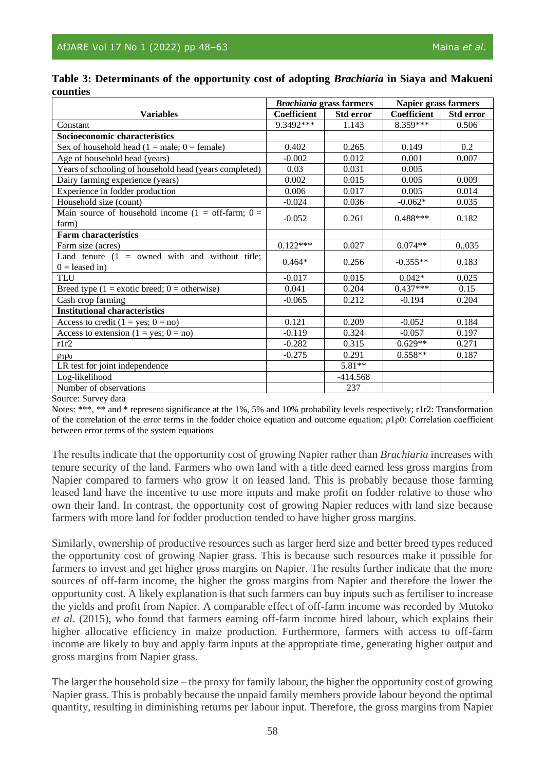|                                                                      |             | <b>Brachiaria</b> grass farmers | Napier grass farmers |           |  |
|----------------------------------------------------------------------|-------------|---------------------------------|----------------------|-----------|--|
| <b>Variables</b>                                                     | Coefficient | <b>Std error</b>                | Coefficient          | Std error |  |
| Constant                                                             | 9.3492***   | 1.143                           | 8.359***             | 0.506     |  |
| Socioeconomic characteristics                                        |             |                                 |                      |           |  |
| Sex of household head $(1 = male; 0 = female)$                       | 0.402       | 0.265                           | 0.149                | 0.2       |  |
| Age of household head (years)                                        | $-0.002$    | 0.012                           | 0.001                | 0.007     |  |
| Years of schooling of household head (years completed)               | 0.03        | 0.031                           | 0.005                |           |  |
| Dairy farming experience (years)                                     | 0.002       | 0.015                           | 0.005                | 0.009     |  |
| Experience in fodder production                                      | 0.006       | 0.017                           | 0.005                | 0.014     |  |
| Household size (count)                                               | $-0.024$    | 0.036                           | $-0.062*$            | 0.035     |  |
| Main source of household income (1 = off-farm; $0 =$<br>farm)        | $-0.052$    | 0.261                           | $0.488***$           | 0.182     |  |
| <b>Farm characteristics</b>                                          |             |                                 |                      |           |  |
| Farm size (acres)                                                    | $0.122***$  | 0.027                           | $0.074**$            | 0035      |  |
| Land tenure $(1 =$ owned with and without title;<br>$0 =$ leased in) | $0.464*$    | 0.256                           | $-0.355**$           | 0.183     |  |
| <b>TLU</b>                                                           | $-0.017$    | 0.015                           | $0.042*$             | 0.025     |  |
| Breed type $(1 = \text{exotic breed}; 0 = \text{otherwise})$         | 0.041       | 0.204                           | $0.437***$           | 0.15      |  |
| Cash crop farming                                                    | $-0.065$    | 0.212                           | $-0.194$             | 0.204     |  |
| <b>Institutional characteristics</b>                                 |             |                                 |                      |           |  |
| Access to credit $(1 = yes; 0 = no)$                                 | 0.121       | 0.209                           | $-0.052$             | 0.184     |  |
| Access to extension $(1 = yes; 0 = no)$                              | $-0.119$    | 0.324                           | $-0.057$             | 0.197     |  |
| r1r2                                                                 | $-0.282$    | 0.315                           | $0.629**$            | 0.271     |  |
| $\rho_1 \rho_0$                                                      | $-0.275$    | 0.291                           | $0.558**$            | 0.187     |  |
| LR test for joint independence                                       |             | 5.81**                          |                      |           |  |
| Log-likelihood                                                       |             | $-414.568$                      |                      |           |  |
| Number of observations                                               |             | 237                             |                      |           |  |

| Table 3: Determinants of the opportunity cost of adopting <i>Brachiaria</i> in Siaya and Makueni |  |  |  |
|--------------------------------------------------------------------------------------------------|--|--|--|
| counties                                                                                         |  |  |  |

Source: Survey data

Notes: \*\*\*, \*\* and \* represent significance at the 1%, 5% and 10% probability levels respectively; r1r2: Transformation of the correlation of the error terms in the fodder choice equation and outcome equation; ρ1ρ0: Correlation coefficient between error terms of the system equations

The results indicate that the opportunity cost of growing Napier rather than *Brachiaria* increases with tenure security of the land. Farmers who own land with a title deed earned less gross margins from Napier compared to farmers who grow it on leased land. This is probably because those farming leased land have the incentive to use more inputs and make profit on fodder relative to those who own their land. In contrast, the opportunity cost of growing Napier reduces with land size because farmers with more land for fodder production tended to have higher gross margins.

Similarly, ownership of productive resources such as larger herd size and better breed types reduced the opportunity cost of growing Napier grass. This is because such resources make it possible for farmers to invest and get higher gross margins on Napier. The results further indicate that the more sources of off-farm income, the higher the gross margins from Napier and therefore the lower the opportunity cost. A likely explanation is that such farmers can buy inputs such as fertiliser to increase the yields and profit from Napier. A comparable effect of off-farm income was recorded by Mutoko *et al*. (2015), who found that farmers earning off-farm income hired labour, which explains their higher allocative efficiency in maize production. Furthermore, farmers with access to off-farm income are likely to buy and apply farm inputs at the appropriate time, generating higher output and gross margins from Napier grass.

The larger the household size – the proxy for family labour, the higher the opportunity cost of growing Napier grass. This is probably because the unpaid family members provide labour beyond the optimal quantity, resulting in diminishing returns per labour input. Therefore, the gross margins from Napier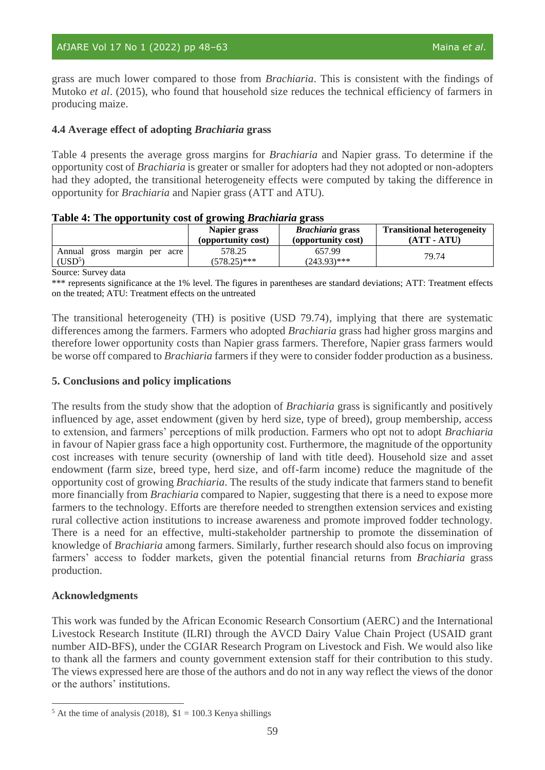grass are much lower compared to those from *Brachiaria*. This is consistent with the findings of Mutoko *et al*. (2015), who found that household size reduces the technical efficiency of farmers in producing maize.

# **4.4 Average effect of adopting** *Brachiaria* **grass**

Table 4 presents the average gross margins for *Brachiaria* and Napier grass. To determine if the opportunity cost of *Brachiaria* is greater or smaller for adopters had they not adopted or non-adopters had they adopted, the transitional heterogeneity effects were computed by taking the difference in opportunity for *Brachiaria* and Napier grass (ATT and ATU).

#### **Table 4: The opportunity cost of growing** *Brachiaria* **grass**

|                                                           | Napier grass             | <b>Brachiaria</b> grass  | <b>Transitional heterogeneity</b> |
|-----------------------------------------------------------|--------------------------|--------------------------|-----------------------------------|
|                                                           | (opportunity cost)       | (opportunity cost)       | (ATT - ATU)                       |
| Annual<br>gross<br>margin per acre<br>(USD <sup>5</sup> ) | 578.25<br>$(578.25)$ *** | 657.99<br>$(243.93)$ *** | 79.74                             |

Source: Survey data

\*\*\* represents significance at the 1% level. The figures in parentheses are standard deviations; ATT: Treatment effects on the treated; ATU: Treatment effects on the untreated

The transitional heterogeneity (TH) is positive (USD 79.74), implying that there are systematic differences among the farmers. Farmers who adopted *Brachiaria* grass had higher gross margins and therefore lower opportunity costs than Napier grass farmers. Therefore, Napier grass farmers would be worse off compared to *Brachiaria* farmers if they were to consider fodder production as a business.

#### **5. Conclusions and policy implications**

The results from the study show that the adoption of *Brachiaria* grass is significantly and positively influenced by age, asset endowment (given by herd size, type of breed), group membership, access to extension, and farmers' perceptions of milk production. Farmers who opt not to adopt *Brachiaria* in favour of Napier grass face a high opportunity cost. Furthermore, the magnitude of the opportunity cost increases with tenure security (ownership of land with title deed). Household size and asset endowment (farm size, breed type, herd size, and off-farm income) reduce the magnitude of the opportunity cost of growing *Brachiaria*. The results of the study indicate that farmers stand to benefit more financially from *Brachiaria* compared to Napier, suggesting that there is a need to expose more farmers to the technology. Efforts are therefore needed to strengthen extension services and existing rural collective action institutions to increase awareness and promote improved fodder technology. There is a need for an effective, multi-stakeholder partnership to promote the dissemination of knowledge of *Brachiaria* among farmers. Similarly, further research should also focus on improving farmers' access to fodder markets, given the potential financial returns from *Brachiaria* grass production.

#### **Acknowledgments**

This work was funded by the African Economic Research Consortium (AERC) and the International Livestock Research Institute (ILRI) through the AVCD Dairy Value Chain Project (USAID grant number AID-BFS), under the CGIAR Research Program on Livestock and Fish. We would also like to thank all the farmers and county government extension staff for their contribution to this study. The views expressed here are those of the authors and do not in any way reflect the views of the donor or the authors' institutions.

 $5$  At the time of analysis (2018),  $$1 = 100.3$  Kenya shillings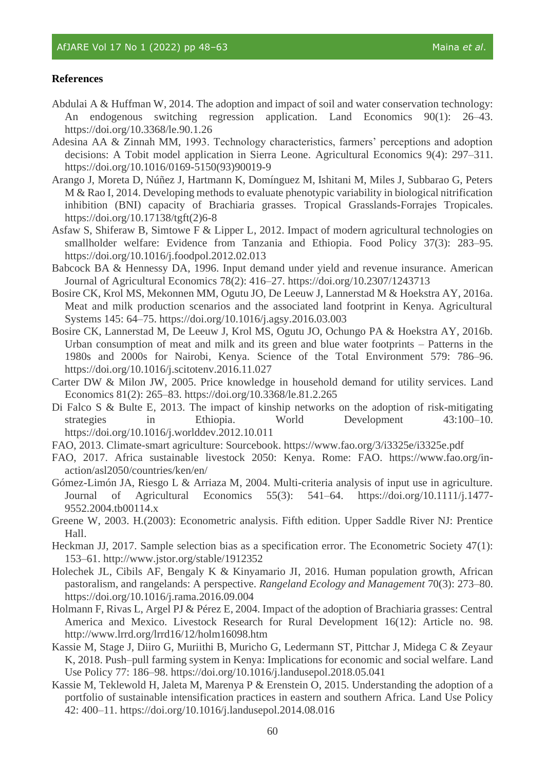#### **References**

- Abdulai A & Huffman W, 2014. The adoption and impact of soil and water conservation technology: An endogenous switching regression application. Land Economics 90(1): 26–43. https://doi.org/10.3368/le.90.1.26
- Adesina AA & Zinnah MM, 1993. Technology characteristics, farmers' perceptions and adoption decisions: A Tobit model application in Sierra Leone. Agricultural Economics 9(4): 297–311. https://doi.org/10.1016/0169-5150(93)90019-9
- Arango J, Moreta D, Núñez J, Hartmann K, Domínguez M, Ishitani M, Miles J, Subbarao G, Peters M & Rao I, 2014. Developing methods to evaluate phenotypic variability in biological nitrification inhibition (BNI) capacity of Brachiaria grasses. Tropical Grasslands-Forrajes Tropicales. https://doi.org/10.17138/tgft(2)6-8
- Asfaw S, Shiferaw B, Simtowe F & Lipper L, 2012. Impact of modern agricultural technologies on smallholder welfare: Evidence from Tanzania and Ethiopia. Food Policy 37(3): 283–95. https://doi.org/10.1016/j.foodpol.2012.02.013
- Babcock BA & Hennessy DA, 1996. Input demand under yield and revenue insurance. American Journal of Agricultural Economics 78(2): 416–27. https://doi.org/10.2307/1243713
- Bosire CK, Krol MS, Mekonnen MM, Ogutu JO, De Leeuw J, Lannerstad M & Hoekstra AY, 2016a. Meat and milk production scenarios and the associated land footprint in Kenya. Agricultural Systems 145: 64–75. https://doi.org/10.1016/j.agsy.2016.03.003
- Bosire CK, Lannerstad M, De Leeuw J, Krol MS, Ogutu JO, Ochungo PA & Hoekstra AY, 2016b. Urban consumption of meat and milk and its green and blue water footprints – Patterns in the 1980s and 2000s for Nairobi, Kenya. Science of the Total Environment 579: 786–96. https://doi.org/10.1016/j.scitotenv.2016.11.027
- Carter DW & Milon JW, 2005. Price knowledge in household demand for utility services. Land Economics 81(2): 265–83. https://doi.org/10.3368/le.81.2.265
- Di Falco S & Bulte E, 2013. The impact of kinship networks on the adoption of risk-mitigating strategies in Ethiopia. World Development 43:100–10. https://doi.org/10.1016/j.worlddev.2012.10.011
- FAO, 2013. Climate-smart agriculture: Sourcebook. https://www.fao.org/3/i3325e/i3325e.pdf
- FAO, 2017. Africa sustainable livestock 2050: Kenya. Rome: FAO. https://www.fao.org/inaction/asl2050/countries/ken/en/
- Gómez-Limón JA, Riesgo L & Arriaza M, 2004. Multi-criteria analysis of input use in agriculture. Journal of Agricultural Economics 55(3): 541–64. https://doi.org/10.1111/j.1477- 9552.2004.tb00114.x
- Greene W, 2003. H.(2003): Econometric analysis. Fifth edition. Upper Saddle River NJ: Prentice Hall.
- Heckman JJ, 2017. Sample selection bias as a specification error. The Econometric Society 47(1): 153–61. http://www.jstor.org/stable/1912352
- Holechek JL, Cibils AF, Bengaly K & Kinyamario JI, 2016. Human population growth, African pastoralism, and rangelands: A perspective. *Rangeland Ecology and Management* 70(3): 273–80. https://doi.org/10.1016/j.rama.2016.09.004
- Holmann F, Rivas L, Argel PJ & Pérez E, 2004. Impact of the adoption of Brachiaria grasses: Central America and Mexico. Livestock Research for Rural Development 16(12): Article no. 98. http://www.lrrd.org/lrrd16/12/holm16098.htm
- Kassie M, Stage J, Diiro G, Muriithi B, Muricho G, Ledermann ST, Pittchar J, Midega C & Zeyaur K, 2018. Push–pull farming system in Kenya: Implications for economic and social welfare. Land Use Policy 77: 186–98. https://doi.org/10.1016/j.landusepol.2018.05.041
- Kassie M, Teklewold H, Jaleta M, Marenya P & Erenstein O, 2015. Understanding the adoption of a portfolio of sustainable intensification practices in eastern and southern Africa. Land Use Policy 42: 400–11. https://doi.org/10.1016/j.landusepol.2014.08.016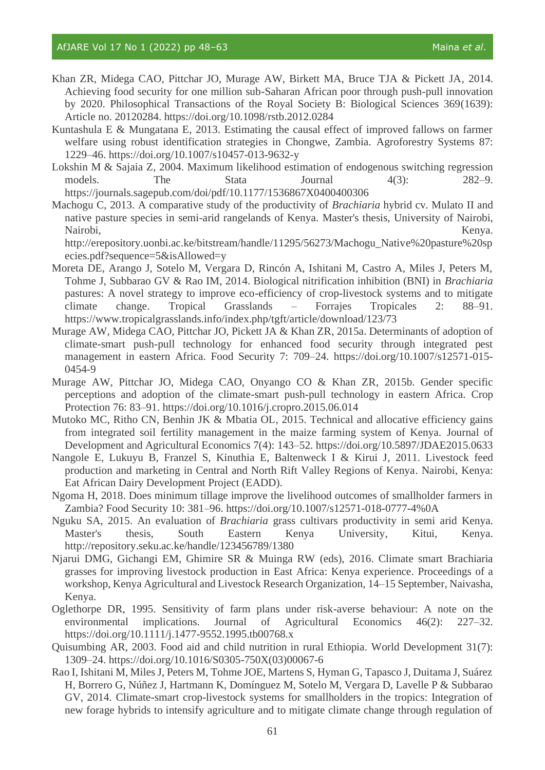- Khan ZR, Midega CAO, Pittchar JO, Murage AW, Birkett MA, Bruce TJA & Pickett JA, 2014. Achieving food security for one million sub-Saharan African poor through push-pull innovation by 2020. Philosophical Transactions of the Royal Society B: Biological Sciences 369(1639): Article no. 20120284. https://doi.org/10.1098/rstb.2012.0284
- Kuntashula E & Mungatana E, 2013. Estimating the causal effect of improved fallows on farmer welfare using robust identification strategies in Chongwe, Zambia. Agroforestry Systems 87: 1229–46. https://doi.org/10.1007/s10457-013-9632-y
- Lokshin M & Sajaia Z, 2004. Maximum likelihood estimation of endogenous switching regression models. The Stata Journal  $4(3)$ : 282–9. https://journals.sagepub.com/doi/pdf/10.1177/1536867X0400400306
- Machogu C, 2013. A comparative study of the productivity of *Brachiaria* hybrid cv. Mulato II and native pasture species in semi-arid rangelands of Kenya. Master's thesis, University of Nairobi, Nairobi, Kenya.

http://erepository.uonbi.ac.ke/bitstream/handle/11295/56273/Machogu\_Native%20pasture%20sp ecies.pdf?sequence=5&isAllowed=y

- Moreta DE, Arango J, Sotelo M, Vergara D, Rincón A, Ishitani M, Castro A, Miles J, Peters M, Tohme J, Subbarao GV & Rao IM, 2014. Biological nitrification inhibition (BNI) in *Brachiaria* pastures: A novel strategy to improve eco-efficiency of crop-livestock systems and to mitigate climate change. Tropical Grasslands – Forrajes Tropicales 2: 88–91. https://www.tropicalgrasslands.info/index.php/tgft/article/download/123/73
- Murage AW, Midega CAO, Pittchar JO, Pickett JA & Khan ZR, 2015a. Determinants of adoption of climate-smart push-pull technology for enhanced food security through integrated pest management in eastern Africa. Food Security 7: 709–24. https://doi.org/10.1007/s12571-015- 0454-9
- Murage AW, Pittchar JO, Midega CAO, Onyango CO & Khan ZR, 2015b. Gender specific perceptions and adoption of the climate-smart push-pull technology in eastern Africa. Crop Protection 76: 83–91. https://doi.org/10.1016/j.cropro.2015.06.014
- Mutoko MC, Ritho CN, Benhin JK & Mbatia OL, 2015. Technical and allocative efficiency gains from integrated soil fertility management in the maize farming system of Kenya. Journal of Development and Agricultural Economics 7(4): 143–52. https://doi.org/10.5897/JDAE2015.0633
- Nangole E, Lukuyu B, Franzel S, Kinuthia E, Baltenweck I & Kirui J, 2011. Livestock feed production and marketing in Central and North Rift Valley Regions of Kenya. Nairobi, Kenya: Eat African Dairy Development Project (EADD).
- Ngoma H, 2018. Does minimum tillage improve the livelihood outcomes of smallholder farmers in Zambia? Food Security 10: 381–96. https://doi.org/10.1007/s12571-018-0777-4%0A
- Nguku SA, 2015. An evaluation of *Brachiaria* grass cultivars productivity in semi arid Kenya. Master's thesis, South Eastern Kenya University, Kitui, Kenya. http://repository.seku.ac.ke/handle/123456789/1380
- Njarui DMG, Gichangi EM, Ghimire SR & Muinga RW (eds), 2016. Climate smart Brachiaria grasses for improving livestock production in East Africa: Kenya experience. Proceedings of a workshop, Kenya Agricultural and Livestock Research Organization, 14–15 September, Naivasha, Kenya.
- Oglethorpe DR, 1995. Sensitivity of farm plans under risk-averse behaviour: A note on the environmental implications. Journal of Agricultural Economics 46(2): 227–32. https://doi.org/10.1111/j.1477-9552.1995.tb00768.x
- Quisumbing AR, 2003. Food aid and child nutrition in rural Ethiopia. World Development 31(7): 1309–24. https://doi.org/10.1016/S0305-750X(03)00067-6
- Rao I, Ishitani M, Miles J, Peters M, Tohme JOE, Martens S, Hyman G, Tapasco J, Duitama J, Suárez H, Borrero G, Núñez J, Hartmann K, Domínguez M, Sotelo M, Vergara D, Lavelle P & Subbarao GV, 2014. Climate-smart crop-livestock systems for smallholders in the tropics: Integration of new forage hybrids to intensify agriculture and to mitigate climate change through regulation of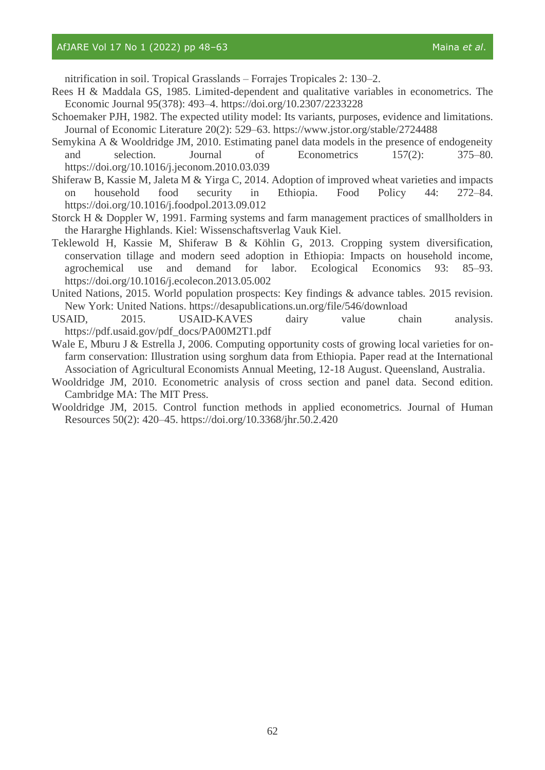#### AfJARE Vol 17 No 1 (2022) pp 48–63 Maina *et al.* Maina *et al.* Maina *et al.*

nitrification in soil. Tropical Grasslands – Forrajes Tropicales 2: 130–2.

- Rees H & Maddala GS, 1985. Limited-dependent and qualitative variables in econometrics. The Economic Journal 95(378): 493–4. https://doi.org/10.2307/2233228
- Schoemaker PJH, 1982. The expected utility model: Its variants, purposes, evidence and limitations. Journal of Economic Literature 20(2): 529–63. https://www.jstor.org/stable/2724488
- Semykina A & Wooldridge JM, 2010. Estimating panel data models in the presence of endogeneity and selection. Journal of Econometrics 157(2): 375–80. https://doi.org/10.1016/j.jeconom.2010.03.039
- Shiferaw B, Kassie M, Jaleta M & Yirga C, 2014. Adoption of improved wheat varieties and impacts on household food security in Ethiopia. Food Policy 44: 272–84. https://doi.org/10.1016/j.foodpol.2013.09.012
- Storck H & Doppler W, 1991. Farming systems and farm management practices of smallholders in the Hararghe Highlands. Kiel: Wissenschaftsverlag Vauk Kiel.
- Teklewold H, Kassie M, Shiferaw B & Köhlin G, 2013. Cropping system diversification, conservation tillage and modern seed adoption in Ethiopia: Impacts on household income, agrochemical use and demand for labor. Ecological Economics 93: 85–93. https://doi.org/10.1016/j.ecolecon.2013.05.002
- United Nations, 2015. World population prospects: Key findings & advance tables. 2015 revision. New York: United Nations. https://desapublications.un.org/file/546/download
- USAID, 2015. USAID-KAVES dairy value chain analysis. https://pdf.usaid.gov/pdf\_docs/PA00M2T1.pdf
- Wale E, Mburu J & Estrella J, 2006. Computing opportunity costs of growing local varieties for onfarm conservation: Illustration using sorghum data from Ethiopia. Paper read at the International Association of Agricultural Economists Annual Meeting, 12-18 August. Queensland, Australia.
- Wooldridge JM, 2010. Econometric analysis of cross section and panel data. Second edition. Cambridge MA: The MIT Press.
- Wooldridge JM, 2015. Control function methods in applied econometrics. Journal of Human Resources 50(2): 420–45. https://doi.org/10.3368/jhr.50.2.420